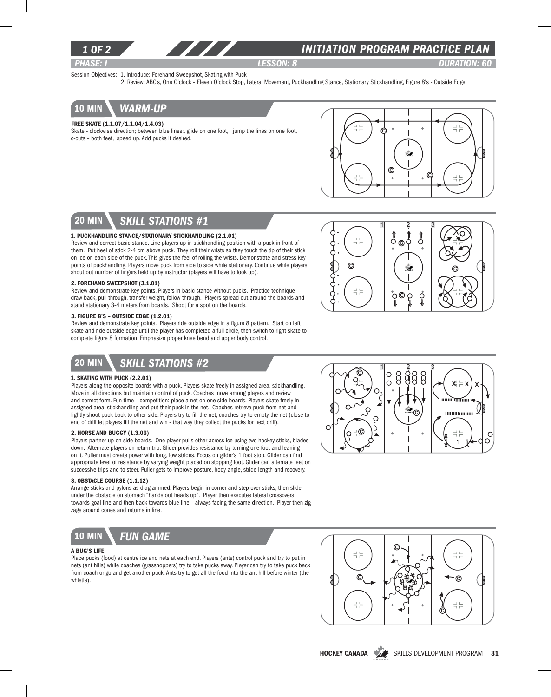

### *INITIATION program PRACTICE PLAN*

*PHASE: I lesson: 8 DURATION: 60* 

C

Session Objectives: 1. Introduce: Forehand Sweepshot, Skating with Puck

2. Review: ABC's, One O'clock – Eleven O'clock Stop, Lateral Movement, Puckhandling Stance, Stationary Stickhandling, Figure 8's - Outside Edge



#### Free Skate (1.1.07/1.1.04/1.4.03)

Skate - clockwise direction; between blue lines:, glide on one foot, jump the lines on one foot, c-cuts – both feet, speed up. Add pucks if desired.



©Ϋ́

Ö

 $1 \quad 2 \quad 3$ 

⇑ Ő

Ŵ.

 $\Omega$ ğ

°C

 $\odot$ 

ç

 $\Rightarrow$   $\Rightarrow$ 

 $\frac{-1}{1} \frac{\Gamma}{\Gamma}$ 

## 20 min *skill stations #1*

#### 1. Puckhandling Stance/Stationary Stickhandling (2.1.01)

Review and correct basic stance. Line players up in stickhandling position with a puck in front of them. Put heel of stick 2-4 cm above puck. They roll their wrists so they touch the tip of their stick on ice on each side of the puck. This gives the feel of rolling the wrists. Demonstrate and stress key points of puckhandling. Players move puck from side to side while stationary. Continue while players shout out number of fingers held up by instructor (players will have to look up).

#### 2. Forehand Sweepshot (3.1.01)

Review and demonstrate key points. Players in basic stance without pucks. Practice technique draw back, pull through, transfer weight, follow through. Players spread out around the boards and stand stationary 3-4 meters from boards. Shoot for a spot on the boards.

### 3. Figure 8's – Outside Edge (1.2.01)

Review and demonstrate key points. Players ride outside edge in a figure 8 pattern. Start on left skate and ride outside edge until the player has completed a full circle, then switch to right skate to complete figure 8 formation. Emphasize proper knee bend and upper body control.

# 20 min *skill stations #2*

#### 1. Skating With Puck (2.2.01)

Players along the opposite boards with a puck. Players skate freely in assigned area, stickhandling. Move in all directions but maintain control of puck. Coaches move among players and review and correct form. Fun time – competition: place a net on one side boards. Players skate freely in assigned area, stickhandling and put their puck in the net. Coaches retrieve puck from net and lightly shoot puck back to other side. Players try to fill the net, coaches try to empty the net (close to end of drill let players fill the net and win - that way they collect the pucks for next drill).

#### 2. Horse and Buggy (1.3.06)

Players partner up on side boards. One player pulls other across ice using two hockey sticks, blades down. Alternate players on return trip. Glider provides resistance by turning one foot and leaning on it. Puller must create power with long, low strides. Focus on glider's 1 foot stop. Glider can find appropriate level of resistance by varying weight placed on stopping foot. Glider can alternate feet on successive trips and to steer. Puller gets to improve posture, body angle, stride length and recovery.

#### 3. Obstacle Course (1.1.12)

Arrange sticks and pylons as diagrammed. Players begin in corner and step over sticks, then slide under the obstacle on stomach "hands out heads up". Player then executes lateral crossovers towards goal line and then back towards blue line – always facing the same direction. Player then zig zags around cones and returns in line.



#### A Bug's Life

Place pucks (food) at centre ice and nets at each end. Players (ants) control puck and try to put in nets (ant hills) while coaches (grasshoppers) try to take pucks away. Player can try to take puck back from coach or go and get another puck. Ants try to get all the food into the ant hill before winter (the whistle).